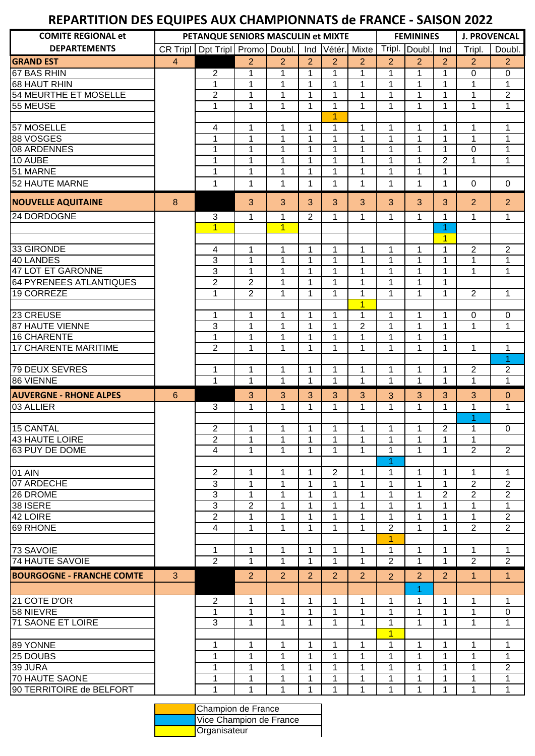## **REPARTITION DES EQUIPES AUX CHAMPIONNATS de FRANCE - SAISON 2022**

| CR Tripl   Dpt Tripl   Promo   Doubl.<br>Tripl.<br><b>DEPARTEMENTS</b><br>Vétér. Mixte<br>Doubl.<br>Tripl.<br>Ind<br>Ind<br>$\overline{2}$<br>$\overline{2}$<br>$\overline{2}$<br>$\overline{2}$<br>$\overline{4}$<br>$\overline{2}$<br>$\overline{2}$<br>$\overline{2}$<br>$\overline{2}$<br>$\overline{2}$<br>$\overline{2}$<br>$\overline{2}$<br>$\mathbf{1}$<br>$\mathbf{1}$<br>$\mathbf{1}$<br>$\mathbf{1}$<br>$\overline{0}$<br>1<br>1<br>$\mathbf{1}$<br>1<br>0<br>$\mathbf{1}$<br>$\mathbf{1}$<br>1<br>$\mathbf{1}$<br>1<br>1<br>1<br>1<br>1<br>1<br>1<br>$\overline{2}$<br>$\mathbf{1}$<br>$\mathbf{1}$<br>$\mathbf 1$<br>$\overline{2}$<br>1<br>$\mathbf{1}$<br>1<br>1<br>1<br>1<br>$\mathbf{1}$<br>$\mathbf{1}$<br>$\mathbf{1}$<br>$\mathbf{1}$<br>$\mathbf 1$<br>1<br>1<br>$\mathbf{1}$<br>1<br>$\mathbf{1}$<br>1<br>1<br>57 MOSELLE<br>$\mathbf{1}$<br>$\mathbf{1}$<br>4<br>1<br>$\mathbf{1}$<br>1<br>1<br>$\mathbf{1}$<br>1<br>1<br>1<br>88 VOSGES<br>$\mathbf{1}$<br>$\mathbf{1}$<br>$\mathbf{1}$<br>$\mathbf{1}$<br>$\mathbf{1}$<br>1<br>1<br>$\mathbf{1}$<br>1<br>1<br>1<br>08 ARDENNES<br>$\mathbf{1}$<br>1<br>$\mathbf{1}$<br>1<br>1<br>$\mathbf{1}$<br>1<br>1<br>1<br>0<br>1<br>1<br>$\mathbf{1}$<br>1<br>$\mathbf{1}$<br>1<br>$\overline{2}$<br>1<br>$\mathbf{1}$<br>10 AUBE<br>1<br>$\mathbf{1}$<br>1<br>$\mathbf{1}$<br>$\mathbf{1}$<br>1<br>$\mathbf{1}$<br>51 MARNE<br>1<br>$\mathbf{1}$<br>1<br>1<br>1<br>52 HAUTE MARNE<br>1<br>1<br>1<br>$\mathbf 0$<br>1<br>$\mathbf 1$<br>1<br>1<br>1<br>1<br>0<br>3<br>3<br>3<br>3<br>3<br>3<br>3<br>3<br>$\overline{2}$<br>$\overline{2}$<br>8<br>$\overline{2}$<br>$\mathbf{1}$<br>3<br>1<br>1<br>1<br>1<br>1<br>$\mathbf{1}$<br>1<br>$\mathbf{1}$<br>$\overline{1}$<br>$\mathbf{1}$<br>1<br>$\overline{1}$<br>$\overline{2}$<br>$\overline{2}$<br>$\overline{\mathcal{A}}$<br>$\mathbf{1}$<br>1<br>$\mathbf{1}$<br>1<br>1<br>$\mathbf 1$<br>$\mathbf{1}$<br>1<br><b>40 LANDES</b><br>3<br>$\mathbf{1}$<br>$\mathbf{1}$<br>$\mathbf{1}$<br>$\mathbf{1}$<br>1<br>1<br>1<br>$\mathbf{1}$<br>1<br>1<br><b>47 LOT ET GARONNE</b><br>3<br>$\mathbf{1}$<br>$\mathbf{1}$<br>$\mathbf{1}$<br>1<br>$\mathbf{1}$<br>$\mathbf{1}$<br>1<br>1<br>1<br>1<br>$\overline{2}$<br>$\overline{c}$<br>64 PYRENEES ATLANTIQUES<br>$\mathbf{1}$<br>$\mathbf{1}$<br>1<br>1<br>1<br>1<br>1<br>$\overline{2}$<br>$\overline{2}$<br>19 CORREZE<br>$\mathbf{1}$<br>$\mathbf{1}$<br>$\mathbf 1$<br>1<br>$\mathbf 1$<br>$\mathbf{1}$<br>$\mathbf{1}$<br>1<br>$\mathbf{1}$<br>$\overline{1}$<br>23 CREUSE<br>$\mathbf{1}$<br>$\mathbf{1}$<br>$\mathbf{1}$<br>$\mathbf{1}$<br>$\mathbf{1}$<br>$\mathbf{1}$<br>$\mathbf{1}$<br>$\mathbf{1}$<br>1<br>$\mathbf 0$<br>$\mathbf 0$<br><b>87 HAUTE VIENNE</b><br>3<br>$\overline{2}$<br>$\mathbf{1}$<br>$\mathbf{1}$<br>$\mathbf{1}$<br>$\mathbf{1}$<br>$\mathbf{1}$<br>$\mathbf{1}$<br>$\mathbf{1}$<br>1<br>1<br><b>16 CHARENTE</b><br>$\mathbf{1}$<br>$\mathbf{1}$<br>$\mathbf{1}$<br>$\mathbf{1}$<br>$\mathbf{1}$<br>$\mathbf{1}$<br>1<br>$\mathbf{1}$<br>1<br>$\overline{2}$<br><b>17 CHARENTE MARITIME</b><br>$\mathbf{1}$<br>$\mathbf{1}$<br>$\mathbf{1}$<br>$\mathbf 1$<br>$\mathbf{1}$<br>$\mathbf{1}$<br>$\mathbf{1}$<br>1<br>1<br>$\mathbf{1}$<br>1<br>1<br>1<br>1<br>1<br>$\overline{2}$<br>$\overline{2}$<br>1<br>1<br>1<br>1<br>1<br>$\mathbf{1}$<br>1<br>$\mathbf 1$<br>$\mathbf{1}$<br>$\mathbf 1$<br>1<br>$\mathbf{1}$<br>1<br>$\mathbf{1}$<br>1<br>$\mathbf{1}$<br>3<br>6<br>3<br>3<br>3<br>3<br>3<br>3<br>3<br>$\mathbf{0}$<br><b>AUVERGNE - RHONE ALPES</b><br>3<br>$\mathbf{1}$<br>$\mathbf{1}$<br>3<br>$\mathbf{1}$<br>$\mathbf{1}$<br>$\mathbf{1}$<br>$\mathbf{1}$<br>$\mathbf{1}$<br>$\mathbf{1}$<br>$\mathbf{1}$<br>$\mathbf{1}$<br>1<br>$\overline{2}$<br>$\mathbf{1}$<br>$\overline{2}$<br>$\mathbf{1}$<br>$\mathbf{1}$<br>$\mathbf{1}$<br>$\mathbf{1}$<br>1<br>$\mathbf 0$<br>$\mathbf{1}$<br>1<br>$\overline{2}$<br>1<br>1<br>1<br>1<br>1<br>1<br>1<br>1<br>1<br>63 PUY DE DOME<br>$\overline{2}$<br>$\overline{4}$<br>1<br>1<br>1<br>1<br>1<br>1<br>1<br>1<br>$\overline{2}$<br>1<br>$\overline{2}$<br>1<br>$\mathbf{1}$<br>$\overline{2}$<br>$\mathbf{1}$<br>$\mathbf{1}$<br>$\mathbf{1}$<br>01 AIN<br>$\mathbf 1$<br>1<br>1<br>1<br>$\overline{3}$<br>07 ARDECHE<br>1<br>$\overline{2}$<br>1<br>1<br>$\mathbf{1}$<br>1<br>1<br>1<br>2<br>1<br>$\overline{3}$<br>$\overline{2}$<br>26 DROME<br>$\mathbf{2}$<br>$\overline{2}$<br>1<br>1<br>1<br>1<br>1<br>1<br>1<br>$\overline{3}$<br>$\overline{2}$<br>38 ISERE<br>1<br>$\mathbf 1$<br>1<br>1<br>1<br>1<br>1<br>1<br>1<br>$\overline{2}$<br>1<br>$\overline{2}$<br>42 LOIRE<br>1<br>$\mathbf 1$<br>1<br>1<br>1<br>1<br>1<br>1<br>69 RHONE<br>$\overline{2}$<br>1<br>$\overline{2}$<br>$\overline{2}$<br>4<br>1<br>1<br>1<br>1<br>1<br>1<br>1<br>1<br>73 SAVOIE<br>1<br>1<br>1<br>1<br>1<br>1<br>1<br>1<br>1<br>1<br>$\overline{2}$<br>$\overline{2}$<br><b>74 HAUTE SAVOIE</b><br>$\mathbf{1}$<br>$\overline{2}$<br>$\overline{2}$<br>$\mathbf{1}$<br>1<br>1<br>1<br>1<br>$\mathbf 1$<br><b>BOURGOGNE - FRANCHE COMTE</b><br>2<br>$\overline{2}$<br>$\overline{2}$<br>$\overline{2}$<br>$\overline{2}$<br>3<br>2<br>2<br>1<br>1<br>2<br>1<br>$\overline{2}$<br>$\mathbf{1}$<br>$\mathbf{1}$<br>$\mathbf{1}$<br>$\mathbf{1}$<br>1<br>1<br>1<br>21 COTE D'OR<br>$\mathbf{1}$<br>1<br>$\mathbf 1$<br>$\mathbf{1}$<br>1<br>1<br>1<br>$\mathbf 1$<br>1<br>1<br>1<br>1<br>1<br>0<br>3<br>1<br>1<br>1<br>1<br>1<br>1<br>1<br>1<br>1<br>1<br>$\overline{1}$<br>1<br>1<br>1<br>1<br>$\mathbf 1$<br>1<br>1<br>1<br>1<br>1<br>1<br>1<br>1<br>1<br>$\mathbf{1}$<br>1<br>1<br>1<br>1<br>1<br>1<br>1<br>1<br>$\overline{2}$<br>1<br>1<br>1<br>1<br>1<br>1<br>1<br>1<br>1<br>1<br>1<br>1<br>1<br>1<br>1<br>1<br>1<br>1<br>1<br>1<br>1<br>1<br>1<br>1<br>1<br>1<br>1<br>1<br>1<br>1<br>1 | <b>COMITE REGIONAL et</b> | PETANQUE SENIORS MASCULIN et MIXTE |  |  |  | <b>FEMININES</b> |  |  | <b>J. PROVENCAL</b> |  |  |
|-------------------------------------------------------------------------------------------------------------------------------------------------------------------------------------------------------------------------------------------------------------------------------------------------------------------------------------------------------------------------------------------------------------------------------------------------------------------------------------------------------------------------------------------------------------------------------------------------------------------------------------------------------------------------------------------------------------------------------------------------------------------------------------------------------------------------------------------------------------------------------------------------------------------------------------------------------------------------------------------------------------------------------------------------------------------------------------------------------------------------------------------------------------------------------------------------------------------------------------------------------------------------------------------------------------------------------------------------------------------------------------------------------------------------------------------------------------------------------------------------------------------------------------------------------------------------------------------------------------------------------------------------------------------------------------------------------------------------------------------------------------------------------------------------------------------------------------------------------------------------------------------------------------------------------------------------------------------------------------------------------------------------------------------------------------------------------------------------------------------------------------------------------------------------------------------------------------------------------------------------------------------------------------------------------------------------------------------------------------------------------------------------------------------------------------------------------------------------------------------------------------------------------------------------------------------------------------------------------------------------------------------------------------------------------------------------------------------------------------------------------------------------------------------------------------------------------------------------------------------------------------------------------------------------------------------------------------------------------------------------------------------------------------------------------------------------------------------------------------------------------------------------------------------------------------------------------------------------------------------------------------------------------------------------------------------------------------------------------------------------------------------------------------------------------------------------------------------------------------------------------------------------------------------------------------------------------------------------------------------------------------------------------------------------------------------------------------------------------------------------------------------------------------------------------------------------------------------------------------------------------------------------------------------------------------------------------------------------------------------------------------------------------------------------------------------------------------------------------------------------------------------------------------------------------------------------------------------------------------------------------------------------------------------------------------------------------------------------------------------------------------------------------------------------------------------------------------------------------------------------------------------------------------------------------------------------------------------------------------------------------------------------------------------------------------------------------------------------------------------------------------------------------------------------------------------------------------------------------------------------------------------------------------------------------------------------------------------------------------------------------------------------------------------------------------------------------------------------------------------------------------------------------------------------------------------------------------------------------------------------------------------------------------------------------------------------------------------------------------------------------------------------------------------------------------------------------------------------------------------------------------------------------------------------------------------------------------------------------------------------------------------------------------------------------------------------------------------------------------------------------------------------------------------------------------------------------------|---------------------------|------------------------------------|--|--|--|------------------|--|--|---------------------|--|--|
|                                                                                                                                                                                                                                                                                                                                                                                                                                                                                                                                                                                                                                                                                                                                                                                                                                                                                                                                                                                                                                                                                                                                                                                                                                                                                                                                                                                                                                                                                                                                                                                                                                                                                                                                                                                                                                                                                                                                                                                                                                                                                                                                                                                                                                                                                                                                                                                                                                                                                                                                                                                                                                                                                                                                                                                                                                                                                                                                                                                                                                                                                                                                                                                                                                                                                                                                                                                                                                                                                                                                                                                                                                                                                                                                                                                                                                                                                                                                                                                                                                                                                                                                                                                                                                                                                                                                                                                                                                                                                                                                                                                                                                                                                                                                                                                                                                                                                                                                                                                                                                                                                                                                                                                                                                                                                                                                                                                                                                                                                                                                                                                                                                                                                                                                                                                                                                     |                           |                                    |  |  |  |                  |  |  | Doubl.              |  |  |
|                                                                                                                                                                                                                                                                                                                                                                                                                                                                                                                                                                                                                                                                                                                                                                                                                                                                                                                                                                                                                                                                                                                                                                                                                                                                                                                                                                                                                                                                                                                                                                                                                                                                                                                                                                                                                                                                                                                                                                                                                                                                                                                                                                                                                                                                                                                                                                                                                                                                                                                                                                                                                                                                                                                                                                                                                                                                                                                                                                                                                                                                                                                                                                                                                                                                                                                                                                                                                                                                                                                                                                                                                                                                                                                                                                                                                                                                                                                                                                                                                                                                                                                                                                                                                                                                                                                                                                                                                                                                                                                                                                                                                                                                                                                                                                                                                                                                                                                                                                                                                                                                                                                                                                                                                                                                                                                                                                                                                                                                                                                                                                                                                                                                                                                                                                                                                                     | <b>GRAND EST</b>          |                                    |  |  |  |                  |  |  |                     |  |  |
|                                                                                                                                                                                                                                                                                                                                                                                                                                                                                                                                                                                                                                                                                                                                                                                                                                                                                                                                                                                                                                                                                                                                                                                                                                                                                                                                                                                                                                                                                                                                                                                                                                                                                                                                                                                                                                                                                                                                                                                                                                                                                                                                                                                                                                                                                                                                                                                                                                                                                                                                                                                                                                                                                                                                                                                                                                                                                                                                                                                                                                                                                                                                                                                                                                                                                                                                                                                                                                                                                                                                                                                                                                                                                                                                                                                                                                                                                                                                                                                                                                                                                                                                                                                                                                                                                                                                                                                                                                                                                                                                                                                                                                                                                                                                                                                                                                                                                                                                                                                                                                                                                                                                                                                                                                                                                                                                                                                                                                                                                                                                                                                                                                                                                                                                                                                                                                     | 67 BAS RHIN               |                                    |  |  |  |                  |  |  |                     |  |  |
|                                                                                                                                                                                                                                                                                                                                                                                                                                                                                                                                                                                                                                                                                                                                                                                                                                                                                                                                                                                                                                                                                                                                                                                                                                                                                                                                                                                                                                                                                                                                                                                                                                                                                                                                                                                                                                                                                                                                                                                                                                                                                                                                                                                                                                                                                                                                                                                                                                                                                                                                                                                                                                                                                                                                                                                                                                                                                                                                                                                                                                                                                                                                                                                                                                                                                                                                                                                                                                                                                                                                                                                                                                                                                                                                                                                                                                                                                                                                                                                                                                                                                                                                                                                                                                                                                                                                                                                                                                                                                                                                                                                                                                                                                                                                                                                                                                                                                                                                                                                                                                                                                                                                                                                                                                                                                                                                                                                                                                                                                                                                                                                                                                                                                                                                                                                                                                     | <b>68 HAUT RHIN</b>       |                                    |  |  |  |                  |  |  |                     |  |  |
|                                                                                                                                                                                                                                                                                                                                                                                                                                                                                                                                                                                                                                                                                                                                                                                                                                                                                                                                                                                                                                                                                                                                                                                                                                                                                                                                                                                                                                                                                                                                                                                                                                                                                                                                                                                                                                                                                                                                                                                                                                                                                                                                                                                                                                                                                                                                                                                                                                                                                                                                                                                                                                                                                                                                                                                                                                                                                                                                                                                                                                                                                                                                                                                                                                                                                                                                                                                                                                                                                                                                                                                                                                                                                                                                                                                                                                                                                                                                                                                                                                                                                                                                                                                                                                                                                                                                                                                                                                                                                                                                                                                                                                                                                                                                                                                                                                                                                                                                                                                                                                                                                                                                                                                                                                                                                                                                                                                                                                                                                                                                                                                                                                                                                                                                                                                                                                     | 54 MEURTHE ET MOSELLE     |                                    |  |  |  |                  |  |  |                     |  |  |
|                                                                                                                                                                                                                                                                                                                                                                                                                                                                                                                                                                                                                                                                                                                                                                                                                                                                                                                                                                                                                                                                                                                                                                                                                                                                                                                                                                                                                                                                                                                                                                                                                                                                                                                                                                                                                                                                                                                                                                                                                                                                                                                                                                                                                                                                                                                                                                                                                                                                                                                                                                                                                                                                                                                                                                                                                                                                                                                                                                                                                                                                                                                                                                                                                                                                                                                                                                                                                                                                                                                                                                                                                                                                                                                                                                                                                                                                                                                                                                                                                                                                                                                                                                                                                                                                                                                                                                                                                                                                                                                                                                                                                                                                                                                                                                                                                                                                                                                                                                                                                                                                                                                                                                                                                                                                                                                                                                                                                                                                                                                                                                                                                                                                                                                                                                                                                                     | 55 MEUSE                  |                                    |  |  |  |                  |  |  |                     |  |  |
|                                                                                                                                                                                                                                                                                                                                                                                                                                                                                                                                                                                                                                                                                                                                                                                                                                                                                                                                                                                                                                                                                                                                                                                                                                                                                                                                                                                                                                                                                                                                                                                                                                                                                                                                                                                                                                                                                                                                                                                                                                                                                                                                                                                                                                                                                                                                                                                                                                                                                                                                                                                                                                                                                                                                                                                                                                                                                                                                                                                                                                                                                                                                                                                                                                                                                                                                                                                                                                                                                                                                                                                                                                                                                                                                                                                                                                                                                                                                                                                                                                                                                                                                                                                                                                                                                                                                                                                                                                                                                                                                                                                                                                                                                                                                                                                                                                                                                                                                                                                                                                                                                                                                                                                                                                                                                                                                                                                                                                                                                                                                                                                                                                                                                                                                                                                                                                     |                           |                                    |  |  |  |                  |  |  |                     |  |  |
|                                                                                                                                                                                                                                                                                                                                                                                                                                                                                                                                                                                                                                                                                                                                                                                                                                                                                                                                                                                                                                                                                                                                                                                                                                                                                                                                                                                                                                                                                                                                                                                                                                                                                                                                                                                                                                                                                                                                                                                                                                                                                                                                                                                                                                                                                                                                                                                                                                                                                                                                                                                                                                                                                                                                                                                                                                                                                                                                                                                                                                                                                                                                                                                                                                                                                                                                                                                                                                                                                                                                                                                                                                                                                                                                                                                                                                                                                                                                                                                                                                                                                                                                                                                                                                                                                                                                                                                                                                                                                                                                                                                                                                                                                                                                                                                                                                                                                                                                                                                                                                                                                                                                                                                                                                                                                                                                                                                                                                                                                                                                                                                                                                                                                                                                                                                                                                     |                           |                                    |  |  |  |                  |  |  |                     |  |  |
|                                                                                                                                                                                                                                                                                                                                                                                                                                                                                                                                                                                                                                                                                                                                                                                                                                                                                                                                                                                                                                                                                                                                                                                                                                                                                                                                                                                                                                                                                                                                                                                                                                                                                                                                                                                                                                                                                                                                                                                                                                                                                                                                                                                                                                                                                                                                                                                                                                                                                                                                                                                                                                                                                                                                                                                                                                                                                                                                                                                                                                                                                                                                                                                                                                                                                                                                                                                                                                                                                                                                                                                                                                                                                                                                                                                                                                                                                                                                                                                                                                                                                                                                                                                                                                                                                                                                                                                                                                                                                                                                                                                                                                                                                                                                                                                                                                                                                                                                                                                                                                                                                                                                                                                                                                                                                                                                                                                                                                                                                                                                                                                                                                                                                                                                                                                                                                     |                           |                                    |  |  |  |                  |  |  |                     |  |  |
|                                                                                                                                                                                                                                                                                                                                                                                                                                                                                                                                                                                                                                                                                                                                                                                                                                                                                                                                                                                                                                                                                                                                                                                                                                                                                                                                                                                                                                                                                                                                                                                                                                                                                                                                                                                                                                                                                                                                                                                                                                                                                                                                                                                                                                                                                                                                                                                                                                                                                                                                                                                                                                                                                                                                                                                                                                                                                                                                                                                                                                                                                                                                                                                                                                                                                                                                                                                                                                                                                                                                                                                                                                                                                                                                                                                                                                                                                                                                                                                                                                                                                                                                                                                                                                                                                                                                                                                                                                                                                                                                                                                                                                                                                                                                                                                                                                                                                                                                                                                                                                                                                                                                                                                                                                                                                                                                                                                                                                                                                                                                                                                                                                                                                                                                                                                                                                     |                           |                                    |  |  |  |                  |  |  |                     |  |  |
|                                                                                                                                                                                                                                                                                                                                                                                                                                                                                                                                                                                                                                                                                                                                                                                                                                                                                                                                                                                                                                                                                                                                                                                                                                                                                                                                                                                                                                                                                                                                                                                                                                                                                                                                                                                                                                                                                                                                                                                                                                                                                                                                                                                                                                                                                                                                                                                                                                                                                                                                                                                                                                                                                                                                                                                                                                                                                                                                                                                                                                                                                                                                                                                                                                                                                                                                                                                                                                                                                                                                                                                                                                                                                                                                                                                                                                                                                                                                                                                                                                                                                                                                                                                                                                                                                                                                                                                                                                                                                                                                                                                                                                                                                                                                                                                                                                                                                                                                                                                                                                                                                                                                                                                                                                                                                                                                                                                                                                                                                                                                                                                                                                                                                                                                                                                                                                     |                           |                                    |  |  |  |                  |  |  |                     |  |  |
|                                                                                                                                                                                                                                                                                                                                                                                                                                                                                                                                                                                                                                                                                                                                                                                                                                                                                                                                                                                                                                                                                                                                                                                                                                                                                                                                                                                                                                                                                                                                                                                                                                                                                                                                                                                                                                                                                                                                                                                                                                                                                                                                                                                                                                                                                                                                                                                                                                                                                                                                                                                                                                                                                                                                                                                                                                                                                                                                                                                                                                                                                                                                                                                                                                                                                                                                                                                                                                                                                                                                                                                                                                                                                                                                                                                                                                                                                                                                                                                                                                                                                                                                                                                                                                                                                                                                                                                                                                                                                                                                                                                                                                                                                                                                                                                                                                                                                                                                                                                                                                                                                                                                                                                                                                                                                                                                                                                                                                                                                                                                                                                                                                                                                                                                                                                                                                     |                           |                                    |  |  |  |                  |  |  |                     |  |  |
|                                                                                                                                                                                                                                                                                                                                                                                                                                                                                                                                                                                                                                                                                                                                                                                                                                                                                                                                                                                                                                                                                                                                                                                                                                                                                                                                                                                                                                                                                                                                                                                                                                                                                                                                                                                                                                                                                                                                                                                                                                                                                                                                                                                                                                                                                                                                                                                                                                                                                                                                                                                                                                                                                                                                                                                                                                                                                                                                                                                                                                                                                                                                                                                                                                                                                                                                                                                                                                                                                                                                                                                                                                                                                                                                                                                                                                                                                                                                                                                                                                                                                                                                                                                                                                                                                                                                                                                                                                                                                                                                                                                                                                                                                                                                                                                                                                                                                                                                                                                                                                                                                                                                                                                                                                                                                                                                                                                                                                                                                                                                                                                                                                                                                                                                                                                                                                     |                           |                                    |  |  |  |                  |  |  |                     |  |  |
|                                                                                                                                                                                                                                                                                                                                                                                                                                                                                                                                                                                                                                                                                                                                                                                                                                                                                                                                                                                                                                                                                                                                                                                                                                                                                                                                                                                                                                                                                                                                                                                                                                                                                                                                                                                                                                                                                                                                                                                                                                                                                                                                                                                                                                                                                                                                                                                                                                                                                                                                                                                                                                                                                                                                                                                                                                                                                                                                                                                                                                                                                                                                                                                                                                                                                                                                                                                                                                                                                                                                                                                                                                                                                                                                                                                                                                                                                                                                                                                                                                                                                                                                                                                                                                                                                                                                                                                                                                                                                                                                                                                                                                                                                                                                                                                                                                                                                                                                                                                                                                                                                                                                                                                                                                                                                                                                                                                                                                                                                                                                                                                                                                                                                                                                                                                                                                     | <b>NOUVELLE AQUITAINE</b> |                                    |  |  |  |                  |  |  |                     |  |  |
|                                                                                                                                                                                                                                                                                                                                                                                                                                                                                                                                                                                                                                                                                                                                                                                                                                                                                                                                                                                                                                                                                                                                                                                                                                                                                                                                                                                                                                                                                                                                                                                                                                                                                                                                                                                                                                                                                                                                                                                                                                                                                                                                                                                                                                                                                                                                                                                                                                                                                                                                                                                                                                                                                                                                                                                                                                                                                                                                                                                                                                                                                                                                                                                                                                                                                                                                                                                                                                                                                                                                                                                                                                                                                                                                                                                                                                                                                                                                                                                                                                                                                                                                                                                                                                                                                                                                                                                                                                                                                                                                                                                                                                                                                                                                                                                                                                                                                                                                                                                                                                                                                                                                                                                                                                                                                                                                                                                                                                                                                                                                                                                                                                                                                                                                                                                                                                     | 24 DORDOGNE               |                                    |  |  |  |                  |  |  |                     |  |  |
|                                                                                                                                                                                                                                                                                                                                                                                                                                                                                                                                                                                                                                                                                                                                                                                                                                                                                                                                                                                                                                                                                                                                                                                                                                                                                                                                                                                                                                                                                                                                                                                                                                                                                                                                                                                                                                                                                                                                                                                                                                                                                                                                                                                                                                                                                                                                                                                                                                                                                                                                                                                                                                                                                                                                                                                                                                                                                                                                                                                                                                                                                                                                                                                                                                                                                                                                                                                                                                                                                                                                                                                                                                                                                                                                                                                                                                                                                                                                                                                                                                                                                                                                                                                                                                                                                                                                                                                                                                                                                                                                                                                                                                                                                                                                                                                                                                                                                                                                                                                                                                                                                                                                                                                                                                                                                                                                                                                                                                                                                                                                                                                                                                                                                                                                                                                                                                     |                           |                                    |  |  |  |                  |  |  |                     |  |  |
|                                                                                                                                                                                                                                                                                                                                                                                                                                                                                                                                                                                                                                                                                                                                                                                                                                                                                                                                                                                                                                                                                                                                                                                                                                                                                                                                                                                                                                                                                                                                                                                                                                                                                                                                                                                                                                                                                                                                                                                                                                                                                                                                                                                                                                                                                                                                                                                                                                                                                                                                                                                                                                                                                                                                                                                                                                                                                                                                                                                                                                                                                                                                                                                                                                                                                                                                                                                                                                                                                                                                                                                                                                                                                                                                                                                                                                                                                                                                                                                                                                                                                                                                                                                                                                                                                                                                                                                                                                                                                                                                                                                                                                                                                                                                                                                                                                                                                                                                                                                                                                                                                                                                                                                                                                                                                                                                                                                                                                                                                                                                                                                                                                                                                                                                                                                                                                     |                           |                                    |  |  |  |                  |  |  |                     |  |  |
|                                                                                                                                                                                                                                                                                                                                                                                                                                                                                                                                                                                                                                                                                                                                                                                                                                                                                                                                                                                                                                                                                                                                                                                                                                                                                                                                                                                                                                                                                                                                                                                                                                                                                                                                                                                                                                                                                                                                                                                                                                                                                                                                                                                                                                                                                                                                                                                                                                                                                                                                                                                                                                                                                                                                                                                                                                                                                                                                                                                                                                                                                                                                                                                                                                                                                                                                                                                                                                                                                                                                                                                                                                                                                                                                                                                                                                                                                                                                                                                                                                                                                                                                                                                                                                                                                                                                                                                                                                                                                                                                                                                                                                                                                                                                                                                                                                                                                                                                                                                                                                                                                                                                                                                                                                                                                                                                                                                                                                                                                                                                                                                                                                                                                                                                                                                                                                     | 33 GIRONDE                |                                    |  |  |  |                  |  |  |                     |  |  |
|                                                                                                                                                                                                                                                                                                                                                                                                                                                                                                                                                                                                                                                                                                                                                                                                                                                                                                                                                                                                                                                                                                                                                                                                                                                                                                                                                                                                                                                                                                                                                                                                                                                                                                                                                                                                                                                                                                                                                                                                                                                                                                                                                                                                                                                                                                                                                                                                                                                                                                                                                                                                                                                                                                                                                                                                                                                                                                                                                                                                                                                                                                                                                                                                                                                                                                                                                                                                                                                                                                                                                                                                                                                                                                                                                                                                                                                                                                                                                                                                                                                                                                                                                                                                                                                                                                                                                                                                                                                                                                                                                                                                                                                                                                                                                                                                                                                                                                                                                                                                                                                                                                                                                                                                                                                                                                                                                                                                                                                                                                                                                                                                                                                                                                                                                                                                                                     |                           |                                    |  |  |  |                  |  |  |                     |  |  |
|                                                                                                                                                                                                                                                                                                                                                                                                                                                                                                                                                                                                                                                                                                                                                                                                                                                                                                                                                                                                                                                                                                                                                                                                                                                                                                                                                                                                                                                                                                                                                                                                                                                                                                                                                                                                                                                                                                                                                                                                                                                                                                                                                                                                                                                                                                                                                                                                                                                                                                                                                                                                                                                                                                                                                                                                                                                                                                                                                                                                                                                                                                                                                                                                                                                                                                                                                                                                                                                                                                                                                                                                                                                                                                                                                                                                                                                                                                                                                                                                                                                                                                                                                                                                                                                                                                                                                                                                                                                                                                                                                                                                                                                                                                                                                                                                                                                                                                                                                                                                                                                                                                                                                                                                                                                                                                                                                                                                                                                                                                                                                                                                                                                                                                                                                                                                                                     |                           |                                    |  |  |  |                  |  |  |                     |  |  |
|                                                                                                                                                                                                                                                                                                                                                                                                                                                                                                                                                                                                                                                                                                                                                                                                                                                                                                                                                                                                                                                                                                                                                                                                                                                                                                                                                                                                                                                                                                                                                                                                                                                                                                                                                                                                                                                                                                                                                                                                                                                                                                                                                                                                                                                                                                                                                                                                                                                                                                                                                                                                                                                                                                                                                                                                                                                                                                                                                                                                                                                                                                                                                                                                                                                                                                                                                                                                                                                                                                                                                                                                                                                                                                                                                                                                                                                                                                                                                                                                                                                                                                                                                                                                                                                                                                                                                                                                                                                                                                                                                                                                                                                                                                                                                                                                                                                                                                                                                                                                                                                                                                                                                                                                                                                                                                                                                                                                                                                                                                                                                                                                                                                                                                                                                                                                                                     |                           |                                    |  |  |  |                  |  |  |                     |  |  |
|                                                                                                                                                                                                                                                                                                                                                                                                                                                                                                                                                                                                                                                                                                                                                                                                                                                                                                                                                                                                                                                                                                                                                                                                                                                                                                                                                                                                                                                                                                                                                                                                                                                                                                                                                                                                                                                                                                                                                                                                                                                                                                                                                                                                                                                                                                                                                                                                                                                                                                                                                                                                                                                                                                                                                                                                                                                                                                                                                                                                                                                                                                                                                                                                                                                                                                                                                                                                                                                                                                                                                                                                                                                                                                                                                                                                                                                                                                                                                                                                                                                                                                                                                                                                                                                                                                                                                                                                                                                                                                                                                                                                                                                                                                                                                                                                                                                                                                                                                                                                                                                                                                                                                                                                                                                                                                                                                                                                                                                                                                                                                                                                                                                                                                                                                                                                                                     |                           |                                    |  |  |  |                  |  |  |                     |  |  |
|                                                                                                                                                                                                                                                                                                                                                                                                                                                                                                                                                                                                                                                                                                                                                                                                                                                                                                                                                                                                                                                                                                                                                                                                                                                                                                                                                                                                                                                                                                                                                                                                                                                                                                                                                                                                                                                                                                                                                                                                                                                                                                                                                                                                                                                                                                                                                                                                                                                                                                                                                                                                                                                                                                                                                                                                                                                                                                                                                                                                                                                                                                                                                                                                                                                                                                                                                                                                                                                                                                                                                                                                                                                                                                                                                                                                                                                                                                                                                                                                                                                                                                                                                                                                                                                                                                                                                                                                                                                                                                                                                                                                                                                                                                                                                                                                                                                                                                                                                                                                                                                                                                                                                                                                                                                                                                                                                                                                                                                                                                                                                                                                                                                                                                                                                                                                                                     |                           |                                    |  |  |  |                  |  |  |                     |  |  |
|                                                                                                                                                                                                                                                                                                                                                                                                                                                                                                                                                                                                                                                                                                                                                                                                                                                                                                                                                                                                                                                                                                                                                                                                                                                                                                                                                                                                                                                                                                                                                                                                                                                                                                                                                                                                                                                                                                                                                                                                                                                                                                                                                                                                                                                                                                                                                                                                                                                                                                                                                                                                                                                                                                                                                                                                                                                                                                                                                                                                                                                                                                                                                                                                                                                                                                                                                                                                                                                                                                                                                                                                                                                                                                                                                                                                                                                                                                                                                                                                                                                                                                                                                                                                                                                                                                                                                                                                                                                                                                                                                                                                                                                                                                                                                                                                                                                                                                                                                                                                                                                                                                                                                                                                                                                                                                                                                                                                                                                                                                                                                                                                                                                                                                                                                                                                                                     |                           |                                    |  |  |  |                  |  |  |                     |  |  |
|                                                                                                                                                                                                                                                                                                                                                                                                                                                                                                                                                                                                                                                                                                                                                                                                                                                                                                                                                                                                                                                                                                                                                                                                                                                                                                                                                                                                                                                                                                                                                                                                                                                                                                                                                                                                                                                                                                                                                                                                                                                                                                                                                                                                                                                                                                                                                                                                                                                                                                                                                                                                                                                                                                                                                                                                                                                                                                                                                                                                                                                                                                                                                                                                                                                                                                                                                                                                                                                                                                                                                                                                                                                                                                                                                                                                                                                                                                                                                                                                                                                                                                                                                                                                                                                                                                                                                                                                                                                                                                                                                                                                                                                                                                                                                                                                                                                                                                                                                                                                                                                                                                                                                                                                                                                                                                                                                                                                                                                                                                                                                                                                                                                                                                                                                                                                                                     |                           |                                    |  |  |  |                  |  |  |                     |  |  |
|                                                                                                                                                                                                                                                                                                                                                                                                                                                                                                                                                                                                                                                                                                                                                                                                                                                                                                                                                                                                                                                                                                                                                                                                                                                                                                                                                                                                                                                                                                                                                                                                                                                                                                                                                                                                                                                                                                                                                                                                                                                                                                                                                                                                                                                                                                                                                                                                                                                                                                                                                                                                                                                                                                                                                                                                                                                                                                                                                                                                                                                                                                                                                                                                                                                                                                                                                                                                                                                                                                                                                                                                                                                                                                                                                                                                                                                                                                                                                                                                                                                                                                                                                                                                                                                                                                                                                                                                                                                                                                                                                                                                                                                                                                                                                                                                                                                                                                                                                                                                                                                                                                                                                                                                                                                                                                                                                                                                                                                                                                                                                                                                                                                                                                                                                                                                                                     |                           |                                    |  |  |  |                  |  |  |                     |  |  |
|                                                                                                                                                                                                                                                                                                                                                                                                                                                                                                                                                                                                                                                                                                                                                                                                                                                                                                                                                                                                                                                                                                                                                                                                                                                                                                                                                                                                                                                                                                                                                                                                                                                                                                                                                                                                                                                                                                                                                                                                                                                                                                                                                                                                                                                                                                                                                                                                                                                                                                                                                                                                                                                                                                                                                                                                                                                                                                                                                                                                                                                                                                                                                                                                                                                                                                                                                                                                                                                                                                                                                                                                                                                                                                                                                                                                                                                                                                                                                                                                                                                                                                                                                                                                                                                                                                                                                                                                                                                                                                                                                                                                                                                                                                                                                                                                                                                                                                                                                                                                                                                                                                                                                                                                                                                                                                                                                                                                                                                                                                                                                                                                                                                                                                                                                                                                                                     |                           |                                    |  |  |  |                  |  |  |                     |  |  |
|                                                                                                                                                                                                                                                                                                                                                                                                                                                                                                                                                                                                                                                                                                                                                                                                                                                                                                                                                                                                                                                                                                                                                                                                                                                                                                                                                                                                                                                                                                                                                                                                                                                                                                                                                                                                                                                                                                                                                                                                                                                                                                                                                                                                                                                                                                                                                                                                                                                                                                                                                                                                                                                                                                                                                                                                                                                                                                                                                                                                                                                                                                                                                                                                                                                                                                                                                                                                                                                                                                                                                                                                                                                                                                                                                                                                                                                                                                                                                                                                                                                                                                                                                                                                                                                                                                                                                                                                                                                                                                                                                                                                                                                                                                                                                                                                                                                                                                                                                                                                                                                                                                                                                                                                                                                                                                                                                                                                                                                                                                                                                                                                                                                                                                                                                                                                                                     | <b>79 DEUX SEVRES</b>     |                                    |  |  |  |                  |  |  |                     |  |  |
|                                                                                                                                                                                                                                                                                                                                                                                                                                                                                                                                                                                                                                                                                                                                                                                                                                                                                                                                                                                                                                                                                                                                                                                                                                                                                                                                                                                                                                                                                                                                                                                                                                                                                                                                                                                                                                                                                                                                                                                                                                                                                                                                                                                                                                                                                                                                                                                                                                                                                                                                                                                                                                                                                                                                                                                                                                                                                                                                                                                                                                                                                                                                                                                                                                                                                                                                                                                                                                                                                                                                                                                                                                                                                                                                                                                                                                                                                                                                                                                                                                                                                                                                                                                                                                                                                                                                                                                                                                                                                                                                                                                                                                                                                                                                                                                                                                                                                                                                                                                                                                                                                                                                                                                                                                                                                                                                                                                                                                                                                                                                                                                                                                                                                                                                                                                                                                     | 86 VIENNE                 |                                    |  |  |  |                  |  |  |                     |  |  |
|                                                                                                                                                                                                                                                                                                                                                                                                                                                                                                                                                                                                                                                                                                                                                                                                                                                                                                                                                                                                                                                                                                                                                                                                                                                                                                                                                                                                                                                                                                                                                                                                                                                                                                                                                                                                                                                                                                                                                                                                                                                                                                                                                                                                                                                                                                                                                                                                                                                                                                                                                                                                                                                                                                                                                                                                                                                                                                                                                                                                                                                                                                                                                                                                                                                                                                                                                                                                                                                                                                                                                                                                                                                                                                                                                                                                                                                                                                                                                                                                                                                                                                                                                                                                                                                                                                                                                                                                                                                                                                                                                                                                                                                                                                                                                                                                                                                                                                                                                                                                                                                                                                                                                                                                                                                                                                                                                                                                                                                                                                                                                                                                                                                                                                                                                                                                                                     |                           |                                    |  |  |  |                  |  |  |                     |  |  |
|                                                                                                                                                                                                                                                                                                                                                                                                                                                                                                                                                                                                                                                                                                                                                                                                                                                                                                                                                                                                                                                                                                                                                                                                                                                                                                                                                                                                                                                                                                                                                                                                                                                                                                                                                                                                                                                                                                                                                                                                                                                                                                                                                                                                                                                                                                                                                                                                                                                                                                                                                                                                                                                                                                                                                                                                                                                                                                                                                                                                                                                                                                                                                                                                                                                                                                                                                                                                                                                                                                                                                                                                                                                                                                                                                                                                                                                                                                                                                                                                                                                                                                                                                                                                                                                                                                                                                                                                                                                                                                                                                                                                                                                                                                                                                                                                                                                                                                                                                                                                                                                                                                                                                                                                                                                                                                                                                                                                                                                                                                                                                                                                                                                                                                                                                                                                                                     | 03 ALLIER                 |                                    |  |  |  |                  |  |  |                     |  |  |
|                                                                                                                                                                                                                                                                                                                                                                                                                                                                                                                                                                                                                                                                                                                                                                                                                                                                                                                                                                                                                                                                                                                                                                                                                                                                                                                                                                                                                                                                                                                                                                                                                                                                                                                                                                                                                                                                                                                                                                                                                                                                                                                                                                                                                                                                                                                                                                                                                                                                                                                                                                                                                                                                                                                                                                                                                                                                                                                                                                                                                                                                                                                                                                                                                                                                                                                                                                                                                                                                                                                                                                                                                                                                                                                                                                                                                                                                                                                                                                                                                                                                                                                                                                                                                                                                                                                                                                                                                                                                                                                                                                                                                                                                                                                                                                                                                                                                                                                                                                                                                                                                                                                                                                                                                                                                                                                                                                                                                                                                                                                                                                                                                                                                                                                                                                                                                                     |                           |                                    |  |  |  |                  |  |  |                     |  |  |
|                                                                                                                                                                                                                                                                                                                                                                                                                                                                                                                                                                                                                                                                                                                                                                                                                                                                                                                                                                                                                                                                                                                                                                                                                                                                                                                                                                                                                                                                                                                                                                                                                                                                                                                                                                                                                                                                                                                                                                                                                                                                                                                                                                                                                                                                                                                                                                                                                                                                                                                                                                                                                                                                                                                                                                                                                                                                                                                                                                                                                                                                                                                                                                                                                                                                                                                                                                                                                                                                                                                                                                                                                                                                                                                                                                                                                                                                                                                                                                                                                                                                                                                                                                                                                                                                                                                                                                                                                                                                                                                                                                                                                                                                                                                                                                                                                                                                                                                                                                                                                                                                                                                                                                                                                                                                                                                                                                                                                                                                                                                                                                                                                                                                                                                                                                                                                                     | <b>15 CANTAL</b>          |                                    |  |  |  |                  |  |  |                     |  |  |
|                                                                                                                                                                                                                                                                                                                                                                                                                                                                                                                                                                                                                                                                                                                                                                                                                                                                                                                                                                                                                                                                                                                                                                                                                                                                                                                                                                                                                                                                                                                                                                                                                                                                                                                                                                                                                                                                                                                                                                                                                                                                                                                                                                                                                                                                                                                                                                                                                                                                                                                                                                                                                                                                                                                                                                                                                                                                                                                                                                                                                                                                                                                                                                                                                                                                                                                                                                                                                                                                                                                                                                                                                                                                                                                                                                                                                                                                                                                                                                                                                                                                                                                                                                                                                                                                                                                                                                                                                                                                                                                                                                                                                                                                                                                                                                                                                                                                                                                                                                                                                                                                                                                                                                                                                                                                                                                                                                                                                                                                                                                                                                                                                                                                                                                                                                                                                                     | 43 HAUTE LOIRE            |                                    |  |  |  |                  |  |  |                     |  |  |
|                                                                                                                                                                                                                                                                                                                                                                                                                                                                                                                                                                                                                                                                                                                                                                                                                                                                                                                                                                                                                                                                                                                                                                                                                                                                                                                                                                                                                                                                                                                                                                                                                                                                                                                                                                                                                                                                                                                                                                                                                                                                                                                                                                                                                                                                                                                                                                                                                                                                                                                                                                                                                                                                                                                                                                                                                                                                                                                                                                                                                                                                                                                                                                                                                                                                                                                                                                                                                                                                                                                                                                                                                                                                                                                                                                                                                                                                                                                                                                                                                                                                                                                                                                                                                                                                                                                                                                                                                                                                                                                                                                                                                                                                                                                                                                                                                                                                                                                                                                                                                                                                                                                                                                                                                                                                                                                                                                                                                                                                                                                                                                                                                                                                                                                                                                                                                                     |                           |                                    |  |  |  |                  |  |  |                     |  |  |
|                                                                                                                                                                                                                                                                                                                                                                                                                                                                                                                                                                                                                                                                                                                                                                                                                                                                                                                                                                                                                                                                                                                                                                                                                                                                                                                                                                                                                                                                                                                                                                                                                                                                                                                                                                                                                                                                                                                                                                                                                                                                                                                                                                                                                                                                                                                                                                                                                                                                                                                                                                                                                                                                                                                                                                                                                                                                                                                                                                                                                                                                                                                                                                                                                                                                                                                                                                                                                                                                                                                                                                                                                                                                                                                                                                                                                                                                                                                                                                                                                                                                                                                                                                                                                                                                                                                                                                                                                                                                                                                                                                                                                                                                                                                                                                                                                                                                                                                                                                                                                                                                                                                                                                                                                                                                                                                                                                                                                                                                                                                                                                                                                                                                                                                                                                                                                                     |                           |                                    |  |  |  |                  |  |  |                     |  |  |
|                                                                                                                                                                                                                                                                                                                                                                                                                                                                                                                                                                                                                                                                                                                                                                                                                                                                                                                                                                                                                                                                                                                                                                                                                                                                                                                                                                                                                                                                                                                                                                                                                                                                                                                                                                                                                                                                                                                                                                                                                                                                                                                                                                                                                                                                                                                                                                                                                                                                                                                                                                                                                                                                                                                                                                                                                                                                                                                                                                                                                                                                                                                                                                                                                                                                                                                                                                                                                                                                                                                                                                                                                                                                                                                                                                                                                                                                                                                                                                                                                                                                                                                                                                                                                                                                                                                                                                                                                                                                                                                                                                                                                                                                                                                                                                                                                                                                                                                                                                                                                                                                                                                                                                                                                                                                                                                                                                                                                                                                                                                                                                                                                                                                                                                                                                                                                                     |                           |                                    |  |  |  |                  |  |  |                     |  |  |
|                                                                                                                                                                                                                                                                                                                                                                                                                                                                                                                                                                                                                                                                                                                                                                                                                                                                                                                                                                                                                                                                                                                                                                                                                                                                                                                                                                                                                                                                                                                                                                                                                                                                                                                                                                                                                                                                                                                                                                                                                                                                                                                                                                                                                                                                                                                                                                                                                                                                                                                                                                                                                                                                                                                                                                                                                                                                                                                                                                                                                                                                                                                                                                                                                                                                                                                                                                                                                                                                                                                                                                                                                                                                                                                                                                                                                                                                                                                                                                                                                                                                                                                                                                                                                                                                                                                                                                                                                                                                                                                                                                                                                                                                                                                                                                                                                                                                                                                                                                                                                                                                                                                                                                                                                                                                                                                                                                                                                                                                                                                                                                                                                                                                                                                                                                                                                                     |                           |                                    |  |  |  |                  |  |  |                     |  |  |
|                                                                                                                                                                                                                                                                                                                                                                                                                                                                                                                                                                                                                                                                                                                                                                                                                                                                                                                                                                                                                                                                                                                                                                                                                                                                                                                                                                                                                                                                                                                                                                                                                                                                                                                                                                                                                                                                                                                                                                                                                                                                                                                                                                                                                                                                                                                                                                                                                                                                                                                                                                                                                                                                                                                                                                                                                                                                                                                                                                                                                                                                                                                                                                                                                                                                                                                                                                                                                                                                                                                                                                                                                                                                                                                                                                                                                                                                                                                                                                                                                                                                                                                                                                                                                                                                                                                                                                                                                                                                                                                                                                                                                                                                                                                                                                                                                                                                                                                                                                                                                                                                                                                                                                                                                                                                                                                                                                                                                                                                                                                                                                                                                                                                                                                                                                                                                                     |                           |                                    |  |  |  |                  |  |  |                     |  |  |
|                                                                                                                                                                                                                                                                                                                                                                                                                                                                                                                                                                                                                                                                                                                                                                                                                                                                                                                                                                                                                                                                                                                                                                                                                                                                                                                                                                                                                                                                                                                                                                                                                                                                                                                                                                                                                                                                                                                                                                                                                                                                                                                                                                                                                                                                                                                                                                                                                                                                                                                                                                                                                                                                                                                                                                                                                                                                                                                                                                                                                                                                                                                                                                                                                                                                                                                                                                                                                                                                                                                                                                                                                                                                                                                                                                                                                                                                                                                                                                                                                                                                                                                                                                                                                                                                                                                                                                                                                                                                                                                                                                                                                                                                                                                                                                                                                                                                                                                                                                                                                                                                                                                                                                                                                                                                                                                                                                                                                                                                                                                                                                                                                                                                                                                                                                                                                                     |                           |                                    |  |  |  |                  |  |  |                     |  |  |
|                                                                                                                                                                                                                                                                                                                                                                                                                                                                                                                                                                                                                                                                                                                                                                                                                                                                                                                                                                                                                                                                                                                                                                                                                                                                                                                                                                                                                                                                                                                                                                                                                                                                                                                                                                                                                                                                                                                                                                                                                                                                                                                                                                                                                                                                                                                                                                                                                                                                                                                                                                                                                                                                                                                                                                                                                                                                                                                                                                                                                                                                                                                                                                                                                                                                                                                                                                                                                                                                                                                                                                                                                                                                                                                                                                                                                                                                                                                                                                                                                                                                                                                                                                                                                                                                                                                                                                                                                                                                                                                                                                                                                                                                                                                                                                                                                                                                                                                                                                                                                                                                                                                                                                                                                                                                                                                                                                                                                                                                                                                                                                                                                                                                                                                                                                                                                                     |                           |                                    |  |  |  |                  |  |  |                     |  |  |
|                                                                                                                                                                                                                                                                                                                                                                                                                                                                                                                                                                                                                                                                                                                                                                                                                                                                                                                                                                                                                                                                                                                                                                                                                                                                                                                                                                                                                                                                                                                                                                                                                                                                                                                                                                                                                                                                                                                                                                                                                                                                                                                                                                                                                                                                                                                                                                                                                                                                                                                                                                                                                                                                                                                                                                                                                                                                                                                                                                                                                                                                                                                                                                                                                                                                                                                                                                                                                                                                                                                                                                                                                                                                                                                                                                                                                                                                                                                                                                                                                                                                                                                                                                                                                                                                                                                                                                                                                                                                                                                                                                                                                                                                                                                                                                                                                                                                                                                                                                                                                                                                                                                                                                                                                                                                                                                                                                                                                                                                                                                                                                                                                                                                                                                                                                                                                                     |                           |                                    |  |  |  |                  |  |  |                     |  |  |
|                                                                                                                                                                                                                                                                                                                                                                                                                                                                                                                                                                                                                                                                                                                                                                                                                                                                                                                                                                                                                                                                                                                                                                                                                                                                                                                                                                                                                                                                                                                                                                                                                                                                                                                                                                                                                                                                                                                                                                                                                                                                                                                                                                                                                                                                                                                                                                                                                                                                                                                                                                                                                                                                                                                                                                                                                                                                                                                                                                                                                                                                                                                                                                                                                                                                                                                                                                                                                                                                                                                                                                                                                                                                                                                                                                                                                                                                                                                                                                                                                                                                                                                                                                                                                                                                                                                                                                                                                                                                                                                                                                                                                                                                                                                                                                                                                                                                                                                                                                                                                                                                                                                                                                                                                                                                                                                                                                                                                                                                                                                                                                                                                                                                                                                                                                                                                                     |                           |                                    |  |  |  |                  |  |  |                     |  |  |
|                                                                                                                                                                                                                                                                                                                                                                                                                                                                                                                                                                                                                                                                                                                                                                                                                                                                                                                                                                                                                                                                                                                                                                                                                                                                                                                                                                                                                                                                                                                                                                                                                                                                                                                                                                                                                                                                                                                                                                                                                                                                                                                                                                                                                                                                                                                                                                                                                                                                                                                                                                                                                                                                                                                                                                                                                                                                                                                                                                                                                                                                                                                                                                                                                                                                                                                                                                                                                                                                                                                                                                                                                                                                                                                                                                                                                                                                                                                                                                                                                                                                                                                                                                                                                                                                                                                                                                                                                                                                                                                                                                                                                                                                                                                                                                                                                                                                                                                                                                                                                                                                                                                                                                                                                                                                                                                                                                                                                                                                                                                                                                                                                                                                                                                                                                                                                                     |                           |                                    |  |  |  |                  |  |  |                     |  |  |
|                                                                                                                                                                                                                                                                                                                                                                                                                                                                                                                                                                                                                                                                                                                                                                                                                                                                                                                                                                                                                                                                                                                                                                                                                                                                                                                                                                                                                                                                                                                                                                                                                                                                                                                                                                                                                                                                                                                                                                                                                                                                                                                                                                                                                                                                                                                                                                                                                                                                                                                                                                                                                                                                                                                                                                                                                                                                                                                                                                                                                                                                                                                                                                                                                                                                                                                                                                                                                                                                                                                                                                                                                                                                                                                                                                                                                                                                                                                                                                                                                                                                                                                                                                                                                                                                                                                                                                                                                                                                                                                                                                                                                                                                                                                                                                                                                                                                                                                                                                                                                                                                                                                                                                                                                                                                                                                                                                                                                                                                                                                                                                                                                                                                                                                                                                                                                                     |                           |                                    |  |  |  |                  |  |  |                     |  |  |
|                                                                                                                                                                                                                                                                                                                                                                                                                                                                                                                                                                                                                                                                                                                                                                                                                                                                                                                                                                                                                                                                                                                                                                                                                                                                                                                                                                                                                                                                                                                                                                                                                                                                                                                                                                                                                                                                                                                                                                                                                                                                                                                                                                                                                                                                                                                                                                                                                                                                                                                                                                                                                                                                                                                                                                                                                                                                                                                                                                                                                                                                                                                                                                                                                                                                                                                                                                                                                                                                                                                                                                                                                                                                                                                                                                                                                                                                                                                                                                                                                                                                                                                                                                                                                                                                                                                                                                                                                                                                                                                                                                                                                                                                                                                                                                                                                                                                                                                                                                                                                                                                                                                                                                                                                                                                                                                                                                                                                                                                                                                                                                                                                                                                                                                                                                                                                                     |                           |                                    |  |  |  |                  |  |  |                     |  |  |
|                                                                                                                                                                                                                                                                                                                                                                                                                                                                                                                                                                                                                                                                                                                                                                                                                                                                                                                                                                                                                                                                                                                                                                                                                                                                                                                                                                                                                                                                                                                                                                                                                                                                                                                                                                                                                                                                                                                                                                                                                                                                                                                                                                                                                                                                                                                                                                                                                                                                                                                                                                                                                                                                                                                                                                                                                                                                                                                                                                                                                                                                                                                                                                                                                                                                                                                                                                                                                                                                                                                                                                                                                                                                                                                                                                                                                                                                                                                                                                                                                                                                                                                                                                                                                                                                                                                                                                                                                                                                                                                                                                                                                                                                                                                                                                                                                                                                                                                                                                                                                                                                                                                                                                                                                                                                                                                                                                                                                                                                                                                                                                                                                                                                                                                                                                                                                                     |                           |                                    |  |  |  |                  |  |  |                     |  |  |
|                                                                                                                                                                                                                                                                                                                                                                                                                                                                                                                                                                                                                                                                                                                                                                                                                                                                                                                                                                                                                                                                                                                                                                                                                                                                                                                                                                                                                                                                                                                                                                                                                                                                                                                                                                                                                                                                                                                                                                                                                                                                                                                                                                                                                                                                                                                                                                                                                                                                                                                                                                                                                                                                                                                                                                                                                                                                                                                                                                                                                                                                                                                                                                                                                                                                                                                                                                                                                                                                                                                                                                                                                                                                                                                                                                                                                                                                                                                                                                                                                                                                                                                                                                                                                                                                                                                                                                                                                                                                                                                                                                                                                                                                                                                                                                                                                                                                                                                                                                                                                                                                                                                                                                                                                                                                                                                                                                                                                                                                                                                                                                                                                                                                                                                                                                                                                                     | 58 NIEVRE                 |                                    |  |  |  |                  |  |  |                     |  |  |
|                                                                                                                                                                                                                                                                                                                                                                                                                                                                                                                                                                                                                                                                                                                                                                                                                                                                                                                                                                                                                                                                                                                                                                                                                                                                                                                                                                                                                                                                                                                                                                                                                                                                                                                                                                                                                                                                                                                                                                                                                                                                                                                                                                                                                                                                                                                                                                                                                                                                                                                                                                                                                                                                                                                                                                                                                                                                                                                                                                                                                                                                                                                                                                                                                                                                                                                                                                                                                                                                                                                                                                                                                                                                                                                                                                                                                                                                                                                                                                                                                                                                                                                                                                                                                                                                                                                                                                                                                                                                                                                                                                                                                                                                                                                                                                                                                                                                                                                                                                                                                                                                                                                                                                                                                                                                                                                                                                                                                                                                                                                                                                                                                                                                                                                                                                                                                                     | <b>71 SAONE ET LOIRE</b>  |                                    |  |  |  |                  |  |  |                     |  |  |
|                                                                                                                                                                                                                                                                                                                                                                                                                                                                                                                                                                                                                                                                                                                                                                                                                                                                                                                                                                                                                                                                                                                                                                                                                                                                                                                                                                                                                                                                                                                                                                                                                                                                                                                                                                                                                                                                                                                                                                                                                                                                                                                                                                                                                                                                                                                                                                                                                                                                                                                                                                                                                                                                                                                                                                                                                                                                                                                                                                                                                                                                                                                                                                                                                                                                                                                                                                                                                                                                                                                                                                                                                                                                                                                                                                                                                                                                                                                                                                                                                                                                                                                                                                                                                                                                                                                                                                                                                                                                                                                                                                                                                                                                                                                                                                                                                                                                                                                                                                                                                                                                                                                                                                                                                                                                                                                                                                                                                                                                                                                                                                                                                                                                                                                                                                                                                                     |                           |                                    |  |  |  |                  |  |  |                     |  |  |
|                                                                                                                                                                                                                                                                                                                                                                                                                                                                                                                                                                                                                                                                                                                                                                                                                                                                                                                                                                                                                                                                                                                                                                                                                                                                                                                                                                                                                                                                                                                                                                                                                                                                                                                                                                                                                                                                                                                                                                                                                                                                                                                                                                                                                                                                                                                                                                                                                                                                                                                                                                                                                                                                                                                                                                                                                                                                                                                                                                                                                                                                                                                                                                                                                                                                                                                                                                                                                                                                                                                                                                                                                                                                                                                                                                                                                                                                                                                                                                                                                                                                                                                                                                                                                                                                                                                                                                                                                                                                                                                                                                                                                                                                                                                                                                                                                                                                                                                                                                                                                                                                                                                                                                                                                                                                                                                                                                                                                                                                                                                                                                                                                                                                                                                                                                                                                                     | 89 YONNE                  |                                    |  |  |  |                  |  |  |                     |  |  |
|                                                                                                                                                                                                                                                                                                                                                                                                                                                                                                                                                                                                                                                                                                                                                                                                                                                                                                                                                                                                                                                                                                                                                                                                                                                                                                                                                                                                                                                                                                                                                                                                                                                                                                                                                                                                                                                                                                                                                                                                                                                                                                                                                                                                                                                                                                                                                                                                                                                                                                                                                                                                                                                                                                                                                                                                                                                                                                                                                                                                                                                                                                                                                                                                                                                                                                                                                                                                                                                                                                                                                                                                                                                                                                                                                                                                                                                                                                                                                                                                                                                                                                                                                                                                                                                                                                                                                                                                                                                                                                                                                                                                                                                                                                                                                                                                                                                                                                                                                                                                                                                                                                                                                                                                                                                                                                                                                                                                                                                                                                                                                                                                                                                                                                                                                                                                                                     | 25 DOUBS                  |                                    |  |  |  |                  |  |  |                     |  |  |
|                                                                                                                                                                                                                                                                                                                                                                                                                                                                                                                                                                                                                                                                                                                                                                                                                                                                                                                                                                                                                                                                                                                                                                                                                                                                                                                                                                                                                                                                                                                                                                                                                                                                                                                                                                                                                                                                                                                                                                                                                                                                                                                                                                                                                                                                                                                                                                                                                                                                                                                                                                                                                                                                                                                                                                                                                                                                                                                                                                                                                                                                                                                                                                                                                                                                                                                                                                                                                                                                                                                                                                                                                                                                                                                                                                                                                                                                                                                                                                                                                                                                                                                                                                                                                                                                                                                                                                                                                                                                                                                                                                                                                                                                                                                                                                                                                                                                                                                                                                                                                                                                                                                                                                                                                                                                                                                                                                                                                                                                                                                                                                                                                                                                                                                                                                                                                                     | 39 JURA                   |                                    |  |  |  |                  |  |  |                     |  |  |
|                                                                                                                                                                                                                                                                                                                                                                                                                                                                                                                                                                                                                                                                                                                                                                                                                                                                                                                                                                                                                                                                                                                                                                                                                                                                                                                                                                                                                                                                                                                                                                                                                                                                                                                                                                                                                                                                                                                                                                                                                                                                                                                                                                                                                                                                                                                                                                                                                                                                                                                                                                                                                                                                                                                                                                                                                                                                                                                                                                                                                                                                                                                                                                                                                                                                                                                                                                                                                                                                                                                                                                                                                                                                                                                                                                                                                                                                                                                                                                                                                                                                                                                                                                                                                                                                                                                                                                                                                                                                                                                                                                                                                                                                                                                                                                                                                                                                                                                                                                                                                                                                                                                                                                                                                                                                                                                                                                                                                                                                                                                                                                                                                                                                                                                                                                                                                                     | <b>70 HAUTE SAONE</b>     |                                    |  |  |  |                  |  |  |                     |  |  |
|                                                                                                                                                                                                                                                                                                                                                                                                                                                                                                                                                                                                                                                                                                                                                                                                                                                                                                                                                                                                                                                                                                                                                                                                                                                                                                                                                                                                                                                                                                                                                                                                                                                                                                                                                                                                                                                                                                                                                                                                                                                                                                                                                                                                                                                                                                                                                                                                                                                                                                                                                                                                                                                                                                                                                                                                                                                                                                                                                                                                                                                                                                                                                                                                                                                                                                                                                                                                                                                                                                                                                                                                                                                                                                                                                                                                                                                                                                                                                                                                                                                                                                                                                                                                                                                                                                                                                                                                                                                                                                                                                                                                                                                                                                                                                                                                                                                                                                                                                                                                                                                                                                                                                                                                                                                                                                                                                                                                                                                                                                                                                                                                                                                                                                                                                                                                                                     | 90 TERRITOIRE de BELFORT  |                                    |  |  |  |                  |  |  |                     |  |  |

| Champion de France      |  |  |  |  |  |  |  |
|-------------------------|--|--|--|--|--|--|--|
| Vice Champion de France |  |  |  |  |  |  |  |
| Organisateur            |  |  |  |  |  |  |  |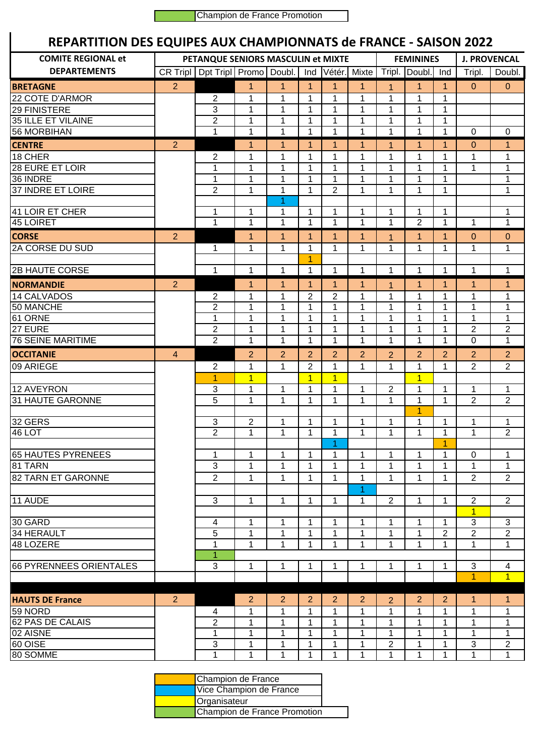Champion de France Promotion

## **REPARTITION DES EQUIPES AUX CHAMPIONNATS de FRANCE - SAISON 2022**

| REPARTITION DES EQUIPES AUX CHAMPIONNATS de FRANCE - SAISON 2022 |                                    |                                             |                   |                |                  |                |                   |                     |                               |                   |                     |                                |
|------------------------------------------------------------------|------------------------------------|---------------------------------------------|-------------------|----------------|------------------|----------------|-------------------|---------------------|-------------------------------|-------------------|---------------------|--------------------------------|
| <b>COMITE REGIONAL et</b>                                        | PETANQUE SENIORS MASCULIN et MIXTE |                                             |                   |                |                  |                |                   | <b>FEMININES</b>    | <b>J. PROVENCAL</b>           |                   |                     |                                |
| <b>DEPARTEMENTS</b>                                              |                                    | CR Tripl   Dpt Tripl   Promo   Doubl.   Ind |                   |                |                  |                | Vétér. Mixte      |                     | Tripl. Doubl.                 | Ind               | Tripl.              | Doubl.                         |
| <b>BRETAGNE</b>                                                  | 2                                  |                                             | 1                 | 1              | $\overline{1}$   | 1              | 1                 | 1                   | 1                             | $\mathbf{1}$      | $\mathbf{0}$        | $\mathbf 0$                    |
| 22 COTE D'ARMOR                                                  |                                    | 2                                           | 1                 | 1              | 1                | 1              | 1                 | 1                   | 1                             | 1                 |                     |                                |
| 29 FINISTERE                                                     |                                    | 3                                           | $\mathbf{1}$      | $\mathbf{1}$   | 1                | 1              | $\mathbf{1}$      | 1                   | 1                             | 1                 |                     |                                |
| 35 ILLE ET VILAINE                                               |                                    | $\overline{2}$                              | $\mathbf{1}$      | $\mathbf{1}$   | 1                | 1              | $\mathbf 1$       | 1                   | 1                             | 1                 |                     |                                |
| <b>56 MORBIHAN</b>                                               |                                    | 1                                           | $\mathbf{1}$      | $\mathbf{1}$   | $\mathbf{1}$     | 1              | $\mathbf{1}$      | $\mathbf{1}$        | 1                             | $\mathbf{1}$      | $\mathbf 0$         | $\mathbf 0$                    |
| <b>CENTRE</b>                                                    | $\overline{2}$                     |                                             | 1                 | $\overline{1}$ | $\overline{1}$   | 1              | $\mathbf 1$       | $\mathbf{1}$        | $\mathbf 1$                   | $\mathbf 1$       | 0                   | $\mathbf{1}$                   |
| 18 CHER                                                          |                                    | 2                                           | 1                 | 1              | 1                | 1              | 1                 | 1                   | 1                             | 1                 | 1                   | $\mathbf 1$                    |
| 28 EURE ET LOIR                                                  |                                    | 1                                           | 1                 | 1              | 1                | 1              | 1                 | 1                   | 1                             | 1                 | 1                   | 1                              |
| 36 INDRE                                                         |                                    | 1                                           | 1                 | 1              | 1                | 1              | 1                 | 1                   | 1                             | 1                 |                     | 1                              |
| 37 INDRE ET LOIRE                                                |                                    | 2                                           | $\mathbf{1}$      | 1              | 1                | 2              | 1                 | 1                   | 1                             | $\mathbf{1}$      |                     | 1                              |
| 41 LOIR ET CHER                                                  |                                    |                                             |                   | 1<br>1         | 1                |                |                   |                     |                               |                   |                     |                                |
| 45 LOIRET                                                        |                                    | 1<br>$\mathbf{1}$                           | 1<br>$\mathbf{1}$ | $\mathbf{1}$   | 1                | 1<br>1         | 1<br>$\mathbf{1}$ | 1<br>1              | $\mathbf 1$<br>$\overline{2}$ | 1<br>$\mathbf{1}$ | 1                   | 1<br>$\mathbf{1}$              |
| <b>CORSE</b>                                                     | $\overline{2}$                     |                                             | $\mathbf 1$       | 1              | $\mathbf 1$      | $\mathbf 1$    | $\mathbf{1}$      | 1                   | $\mathbf{1}$                  | $\mathbf{1}$      | 0                   | $\overline{0}$                 |
| 2A CORSE DU SUD                                                  |                                    | 1                                           | $\mathbf{1}$      | 1              | 1                | 1              | $\mathbf{1}$      | 1                   | 1                             | 1                 | 1                   | 1                              |
|                                                                  |                                    |                                             |                   |                | 1                |                |                   |                     |                               |                   |                     |                                |
| <b>2B HAUTE CORSE</b>                                            |                                    | 1                                           | 1                 | 1              | $\mathbf 1$      | 1              | $\mathbf 1$       | 1                   | $\mathbf 1$                   | 1                 | 1                   | 1                              |
| <b>NORMANDIE</b>                                                 | $\overline{2}$                     |                                             | 1                 | $\mathbf{1}$   | $\mathbf{1}$     | 1              | $\mathbf 1$       | 1                   | 1                             | $\mathbf{1}$      | $\mathbf{1}$        | $\mathbf{1}$                   |
| 14 CALVADOS                                                      |                                    | 2                                           | 1                 | 1              | $\overline{2}$   | $\overline{2}$ | 1                 | 1                   | 1                             | $\mathbf{1}$      | 1                   | 1                              |
| 50 MANCHE                                                        |                                    | $\overline{2}$                              | 1                 | $\mathbf{1}$   | 1                | 1              | 1                 | 1                   | 1                             | $\mathbf{1}$      | 1                   | 1                              |
| 61 ORNE                                                          |                                    | $\mathbf{1}$                                | $\mathbf{1}$      | $\mathbf{1}$   | $\mathbf{1}$     | 1              | 1                 | 1                   | 1                             | $\mathbf{1}$      | 1                   | $\mathbf{1}$                   |
| 27 EURE                                                          |                                    | $\overline{c}$                              | 1                 | 1              | 1                | 1              | 1                 | 1                   | 1                             | 1                 | $\overline{2}$      | $\sqrt{2}$                     |
| <b>76 SEINE MARITIME</b>                                         |                                    | $\overline{2}$                              | 1                 | 1              | 1                | 1              | 1                 | 1                   | 1                             | 1                 | $\Omega$            | 1                              |
| <b>OCCITANIE</b>                                                 | $\overline{4}$                     |                                             | $\overline{2}$    | $\overline{2}$ | $\overline{2}$   | 2              | $\overline{2}$    | $\overline{2}$      | $\overline{2}$                | 2                 | $\overline{2}$      | $\overline{2}$                 |
| 09 ARIEGE                                                        |                                    | $\overline{c}$                              | 1                 | $\mathbf{1}$   | $\overline{2}$   | 1              | 1                 | 1                   | 1                             | 1                 | 2                   | $\overline{2}$                 |
|                                                                  |                                    | 1                                           | $\overline{1}$    |                | $\overline{1}$   | $\mathbf{1}$   |                   |                     | $\overline{1}$                |                   |                     |                                |
| 12 AVEYRON<br>31 HAUTE GARONNE                                   |                                    | 3<br>5                                      | 1<br>$\mathbf{1}$ | 1<br>1         | 1<br>1           | 1<br>1         | 1<br>1            | 2<br>1              | 1<br>1                        | 1<br>$\mathbf{1}$ | 1<br>$\overline{2}$ | 1<br>$\mathbf{2}$              |
|                                                                  |                                    |                                             |                   |                |                  |                |                   |                     | 1                             |                   |                     |                                |
| 32 GERS                                                          |                                    | $\sqrt{3}$                                  | 2                 | 1              | 1                | 1              | 1                 | 1                   | 1                             | 1                 | 1                   | 1                              |
| 46 LOT                                                           |                                    | $\overline{2}$                              | $\mathbf{1}$      | $\mathbf 1$    | $\mathbf{1}$     | 1              | $\mathbf 1$       | $\mathbf 1$         | 1                             | $\mathbf{1}$      | $\mathbf 1$         | $\overline{2}$                 |
|                                                                  |                                    |                                             |                   |                |                  | 1              |                   |                     |                               | 1                 |                     |                                |
| 65 HAUTES PYRENEES                                               |                                    | 1                                           | 1                 | 1              | 1                | 1              | $\mathbf{1}$      | 1                   | $\mathbf 1$                   | 1                 | 0                   | 1                              |
| 81 TARN                                                          |                                    | 3                                           | 1                 | 1              | 1                | 1              | 1                 | 1                   | 1                             | 1                 | 1                   | 1                              |
| 82 TARN ET GARONNE                                               |                                    | $\overline{2}$                              | $\mathbf{1}$      | 1              | 1                | 1              | 1                 | 1                   | 1                             | $\mathbf{1}$      | $\overline{2}$      | $\overline{2}$                 |
|                                                                  |                                    |                                             |                   |                |                  |                | 1                 |                     |                               |                   |                     |                                |
| 11 AUDE                                                          |                                    | 3                                           | 1                 | 1              | 1                | 1              | 1                 | 2                   | $\mathbf 1$                   | 1                 | $\overline{c}$      | $\overline{2}$                 |
|                                                                  |                                    |                                             |                   |                |                  |                |                   |                     |                               |                   | $\mathbf{1}$        |                                |
| 30 GARD                                                          |                                    | 4                                           | 1                 | 1              | 1                | 1              | 1                 | 1                   | 1                             | 1                 | 3                   | $\mathbf{3}$                   |
| 34 HERAULT                                                       |                                    | 5                                           | 1                 | 1              | 1                | 1              | 1                 | 1                   | 1                             | $\overline{c}$    | $\overline{c}$      | $\overline{2}$                 |
| 48 LOZERE                                                        |                                    | 1                                           | $\mathbf{1}$      | 1              | 1                | 1              | 1                 | 1                   | 1                             | 1                 | 1                   | 1                              |
| 66 PYRENNEES ORIENTALES                                          |                                    | $\mathbf{1}$<br>$\sqrt{3}$                  | 1                 | 1              | $\mathbf 1$      |                | 1                 | 1                   | 1                             | $\mathbf{1}$      | 3                   |                                |
|                                                                  |                                    |                                             |                   |                |                  | 1              |                   |                     |                               |                   | 1                   | 4<br>$\overline{1}$            |
|                                                                  |                                    |                                             |                   |                |                  |                |                   |                     |                               |                   |                     |                                |
| <b>HAUTS DE France</b>                                           | $\overline{2}$                     |                                             | $\overline{2}$    | 2              | $\overline{2}$   | $\overline{2}$ | $\overline{2}$    | $\overline{2}$      | $\overline{2}$                | $\overline{2}$    | $\mathbf{1}$        | $\mathbf{1}$                   |
| 59 NORD                                                          |                                    | 4                                           | 1                 | 1              | 1                | 1              | 1                 | 1                   | 1                             | 1                 | 1                   | 1                              |
| 62 PAS DE CALAIS                                                 |                                    | $\overline{2}$                              | 1                 | 1              | 1                | 1              | 1                 | 1                   | 1                             | 1                 | 1                   | 1                              |
| 02 AISNE                                                         |                                    | 1                                           | $\mathbf{1}$      | 1              | 1                | 1              | 1                 | 1                   | 1                             | 1                 | 1                   | 1                              |
|                                                                  |                                    |                                             |                   |                |                  |                |                   |                     |                               |                   |                     |                                |
| 60 OISE<br>80 SOMME                                              |                                    | 3<br>1                                      | 1<br>$\mathbf{1}$ | 1<br>1         | 1<br>$\mathbf 1$ | 1<br>1         | 1<br>1            | $\overline{c}$<br>1 | 1<br>1                        | 1<br>1            | 3<br>1              | $\overline{c}$<br>$\mathbf{1}$ |

|                              | Champion de France      |  |  |  |  |  |
|------------------------------|-------------------------|--|--|--|--|--|
|                              | Vice Champion de France |  |  |  |  |  |
|                              | Organisateur            |  |  |  |  |  |
| Champion de France Promotion |                         |  |  |  |  |  |